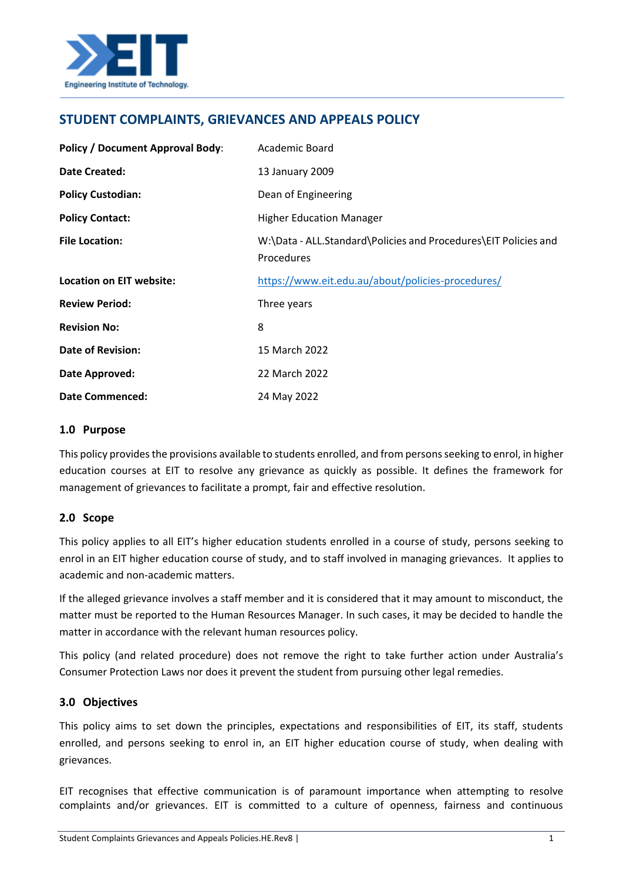

# **STUDENT COMPLAINTS, GRIEVANCES AND APPEALS POLICY**

| <b>Policy / Document Approval Body:</b> | Academic Board                                                                |
|-----------------------------------------|-------------------------------------------------------------------------------|
| <b>Date Created:</b>                    | 13 January 2009                                                               |
| <b>Policy Custodian:</b>                | Dean of Engineering                                                           |
| <b>Policy Contact:</b>                  | <b>Higher Education Manager</b>                                               |
| <b>File Location:</b>                   | W:\Data - ALL.Standard\Policies and Procedures\EIT Policies and<br>Procedures |
| Location on EIT website:                | https://www.eit.edu.au/about/policies-procedures/                             |
| <b>Review Period:</b>                   | Three years                                                                   |
| <b>Revision No:</b>                     | 8                                                                             |
| <b>Date of Revision:</b>                | 15 March 2022                                                                 |
| Date Approved:                          | 22 March 2022                                                                 |
| <b>Date Commenced:</b>                  | 24 May 2022                                                                   |

#### **1.0 Purpose**

This policy provides the provisions available to students enrolled, and from persons seeking to enrol, in higher education courses at EIT to resolve any grievance as quickly as possible. It defines the framework for management of grievances to facilitate a prompt, fair and effective resolution.

## **2.0 Scope**

This policy applies to all EIT's higher education students enrolled in a course of study, persons seeking to enrol in an EIT higher education course of study, and to staff involved in managing grievances. It applies to academic and non-academic matters.

If the alleged grievance involves a staff member and it is considered that it may amount to misconduct, the matter must be reported to the Human Resources Manager. In such cases, it may be decided to handle the matter in accordance with the relevant human resources policy.

This policy (and related procedure) does not remove the right to take further action under Australia's Consumer Protection Laws nor does it prevent the student from pursuing other legal remedies.

#### **3.0 Objectives**

This policy aims to set down the principles, expectations and responsibilities of EIT, its staff, students enrolled, and persons seeking to enrol in, an EIT higher education course of study, when dealing with grievances.

EIT recognises that effective communication is of paramount importance when attempting to resolve complaints and/or grievances. EIT is committed to a culture of openness, fairness and continuous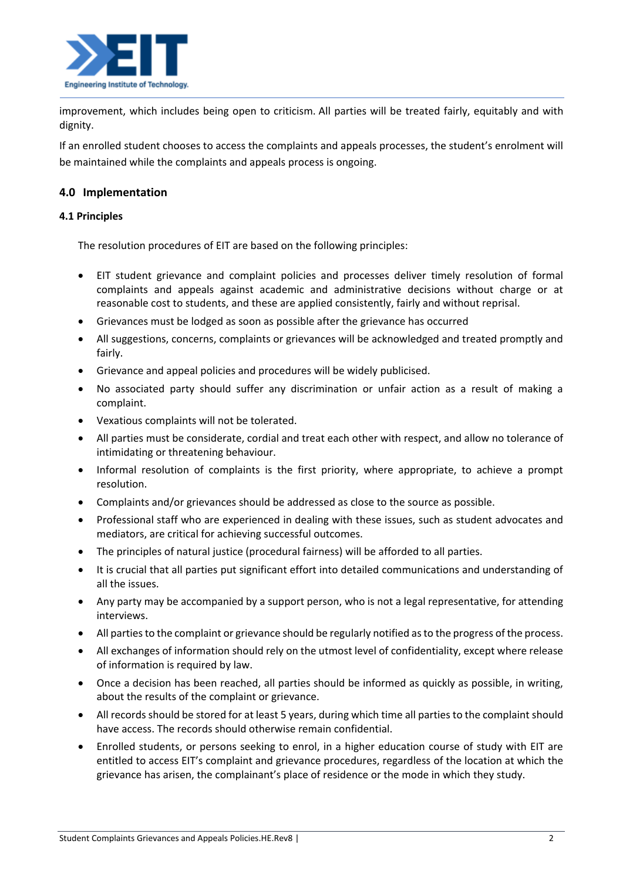

improvement, which includes being open to criticism. All parties will be treated fairly, equitably and with dignity.

If an enrolled student chooses to access the complaints and appeals processes, the student's enrolment will be maintained while the complaints and appeals process is ongoing.

## **4.0 Implementation**

#### **4.1 Principles**

The resolution procedures of EIT are based on the following principles:

- EIT student grievance and complaint policies and processes deliver timely resolution of formal complaints and appeals against academic and administrative decisions without charge or at reasonable cost to students, and these are applied consistently, fairly and without reprisal.
- Grievances must be lodged as soon as possible after the grievance has occurred
- All suggestions, concerns, complaints or grievances will be acknowledged and treated promptly and fairly.
- Grievance and appeal policies and procedures will be widely publicised.
- No associated party should suffer any discrimination or unfair action as a result of making a complaint.
- Vexatious complaints will not be tolerated.
- All parties must be considerate, cordial and treat each other with respect, and allow no tolerance of intimidating or threatening behaviour.
- Informal resolution of complaints is the first priority, where appropriate, to achieve a prompt resolution.
- Complaints and/or grievances should be addressed as close to the source as possible.
- Professional staff who are experienced in dealing with these issues, such as student advocates and mediators, are critical for achieving successful outcomes.
- The principles of natural justice (procedural fairness) will be afforded to all parties.
- It is crucial that all parties put significant effort into detailed communications and understanding of all the issues.
- Any party may be accompanied by a support person, who is not a legal representative, for attending interviews.
- All parties to the complaint or grievance should be regularly notified as to the progress of the process.
- All exchanges of information should rely on the utmost level of confidentiality, except where release of information is required by law.
- Once a decision has been reached, all parties should be informed as quickly as possible, in writing, about the results of the complaint or grievance.
- All records should be stored for at least 5 years, during which time all parties to the complaint should have access. The records should otherwise remain confidential.
- Enrolled students, or persons seeking to enrol, in a higher education course of study with EIT are entitled to access EIT's complaint and grievance procedures, regardless of the location at which the grievance has arisen, the complainant's place of residence or the mode in which they study.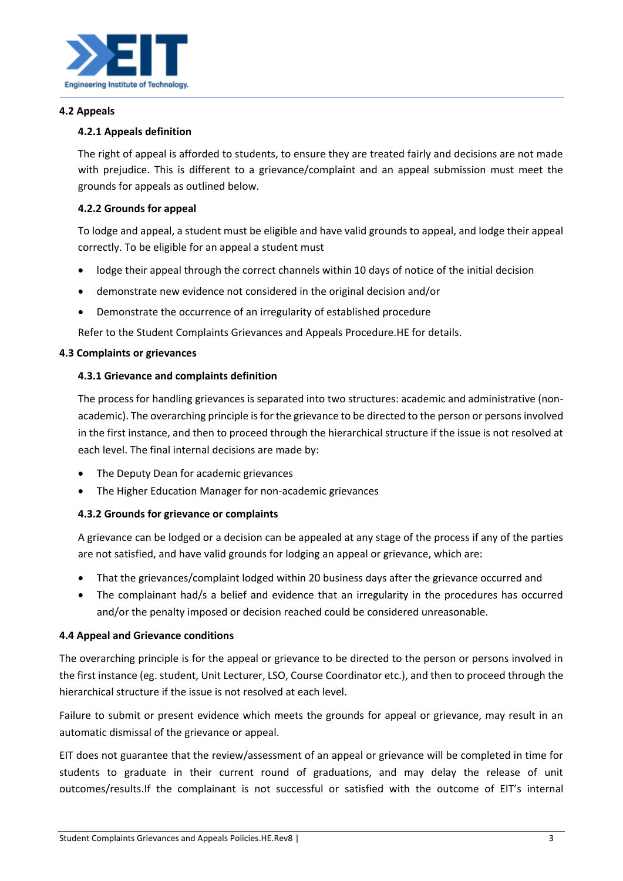

#### **4.2 Appeals**

## **4.2.1 Appeals definition**

The right of appeal is afforded to students, to ensure they are treated fairly and decisions are not made with prejudice. This is different to a grievance/complaint and an appeal submission must meet the grounds for appeals as outlined below.

## **4.2.2 Grounds for appeal**

To lodge and appeal, a student must be eligible and have valid grounds to appeal, and lodge their appeal correctly. To be eligible for an appeal a student must

- lodge their appeal through the correct channels within 10 days of notice of the initial decision
- demonstrate new evidence not considered in the original decision and/or
- Demonstrate the occurrence of an irregularity of established procedure

Refer to the Student Complaints Grievances and Appeals Procedure.HE for details.

#### **4.3 Complaints or grievances**

#### **4.3.1 Grievance and complaints definition**

The process for handling grievances is separated into two structures: academic and administrative (nonacademic). The overarching principle is for the grievance to be directed to the person or persons involved in the first instance, and then to proceed through the hierarchical structure if the issue is not resolved at each level. The final internal decisions are made by:

- The Deputy Dean for academic grievances
- The Higher Education Manager for non-academic grievances

#### **4.3.2 Grounds for grievance or complaints**

A grievance can be lodged or a decision can be appealed at any stage of the process if any of the parties are not satisfied, and have valid grounds for lodging an appeal or grievance, which are:

- That the grievances/complaint lodged within 20 business days after the grievance occurred and
- The complainant had/s a belief and evidence that an irregularity in the procedures has occurred and/or the penalty imposed or decision reached could be considered unreasonable.

#### **4.4 Appeal and Grievance conditions**

The overarching principle is for the appeal or grievance to be directed to the person or persons involved in the first instance (eg. student, Unit Lecturer, LSO, Course Coordinator etc.), and then to proceed through the hierarchical structure if the issue is not resolved at each level.

Failure to submit or present evidence which meets the grounds for appeal or grievance, may result in an automatic dismissal of the grievance or appeal.

EIT does not guarantee that the review/assessment of an appeal or grievance will be completed in time for students to graduate in their current round of graduations, and may delay the release of unit outcomes/results.If the complainant is not successful or satisfied with the outcome of EIT's internal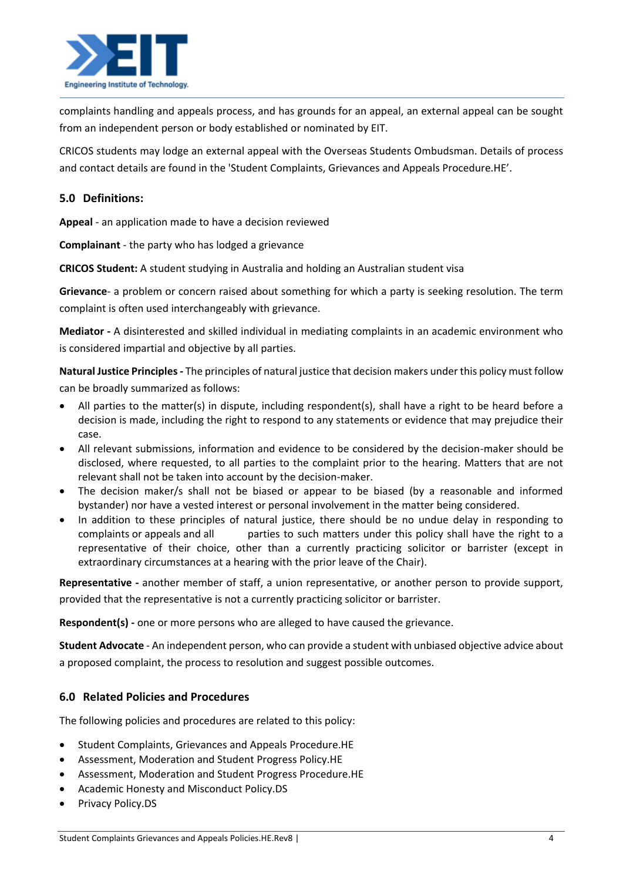

complaints handling and appeals process, and has grounds for an appeal, an external appeal can be sought from an independent person or body established or nominated by EIT.

CRICOS students may lodge an external appeal with the Overseas Students Ombudsman. Details of process and contact details are found in the 'Student Complaints, Grievances and Appeals Procedure.HE'.

## **5.0 Definitions:**

**Appeal** - an application made to have a decision reviewed

**Complainant** - the party who has lodged a grievance

**CRICOS Student:** A student studying in Australia and holding an Australian student visa

**Grievance**- a problem or concern raised about something for which a party is seeking resolution. The term complaint is often used interchangeably with grievance.

**Mediator -** A disinterested and skilled individual in mediating complaints in an academic environment who is considered impartial and objective by all parties.

**Natural Justice Principles -** The principles of natural justice that decision makers under this policy must follow can be broadly summarized as follows:

- All parties to the matter(s) in dispute, including respondent(s), shall have a right to be heard before a decision is made, including the right to respond to any statements or evidence that may prejudice their case.
- All relevant submissions, information and evidence to be considered by the decision-maker should be disclosed, where requested, to all parties to the complaint prior to the hearing. Matters that are not relevant shall not be taken into account by the decision-maker.
- The decision maker/s shall not be biased or appear to be biased (by a reasonable and informed bystander) nor have a vested interest or personal involvement in the matter being considered.
- In addition to these principles of natural justice, there should be no undue delay in responding to complaints or appeals and all parties to such matters under this policy shall have the right to a representative of their choice, other than a currently practicing solicitor or barrister (except in extraordinary circumstances at a hearing with the prior leave of the Chair).

**Representative -** another member of staff, a union representative, or another person to provide support, provided that the representative is not a currently practicing solicitor or barrister.

**Respondent(s) -** one or more persons who are alleged to have caused the grievance.

**Student Advocate** - An independent person, who can provide a student with unbiased objective advice about a proposed complaint, the process to resolution and suggest possible outcomes.

## **6.0 Related Policies and Procedures**

The following policies and procedures are related to this policy:

- Student Complaints, Grievances and Appeals Procedure.HE
- Assessment, Moderation and Student Progress Policy.HE
- Assessment, Moderation and Student Progress Procedure.HE
- Academic Honesty and Misconduct Policy.DS
- Privacy Policy.DS